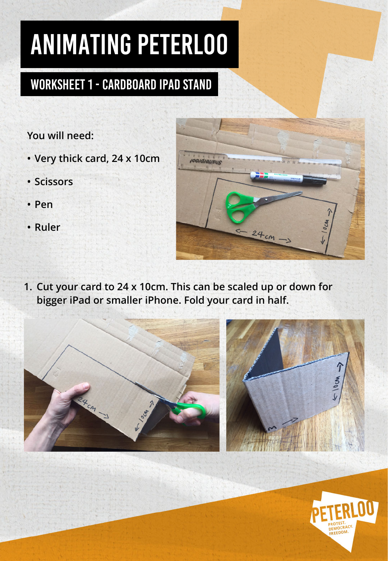## Worksheet 1 - Cardboard iPad stand

### **You will need:**

- **• Very thick card, 24 x 10cm**
- **• Scissors**
- **• Pen**
- **• Ruler**



**1. Cut your card to 24 x 10cm. This can be scaled up or down for bigger iPad or smaller iPhone. Fold your card in half.**



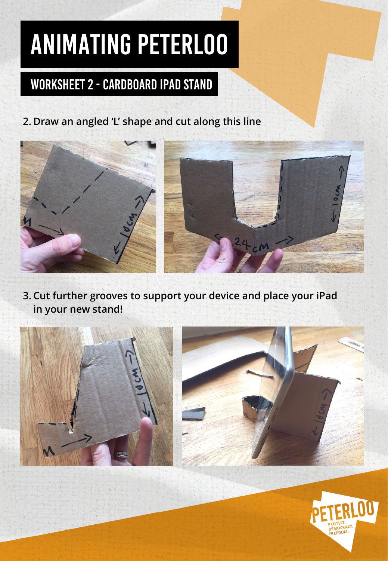## Worksheet 2 - Cardboard iPad stand

**2. Draw an angled 'L' shape and cut along this line**



**3. Cut further grooves to support your device and place your iPad in your new stand!**



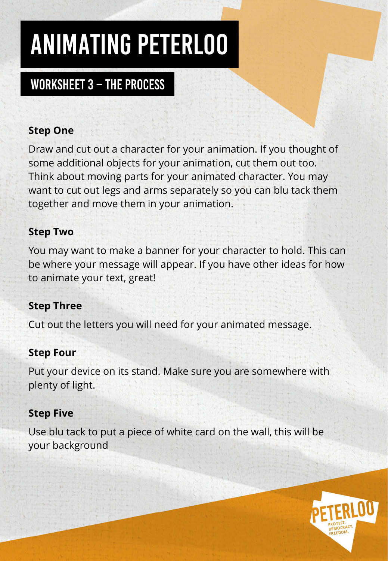## Worksheet 3 – THE PROCESS

### **Step One**

Draw and cut out a character for your animation. If you thought of some additional objects for your animation, cut them out too. Think about moving parts for your animated character. You may want to cut out legs and arms separately so you can blu tack them together and move them in your animation.

### **Step Two**

You may want to make a banner for your character to hold. This can be where your message will appear. If you have other ideas for how to animate your text, great!

#### **Step Three**

Cut out the letters you will need for your animated message.

#### **Step Four**

Put your device on its stand. Make sure you are somewhere with plenty of light.

#### **Step Five**

Use blu tack to put a piece of white card on the wall, this will be your background

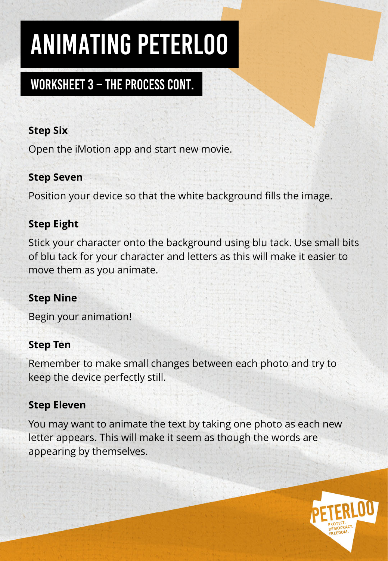### Worksheet 3 – THE PROCESS CONT.

#### **Step Six**

Open the iMotion app and start new movie.

#### **Step Seven**

Position your device so that the white background fills the image.

#### **Step Eight**

Stick your character onto the background using blu tack. Use small bits of blu tack for your character and letters as this will make it easier to move them as you animate.

#### **Step Nine**

Begin your animation!

#### **Step Ten**

Remember to make small changes between each photo and try to keep the device perfectly still.

#### **Step Eleven**

You may want to animate the text by taking one photo as each new letter appears. This will make it seem as though the words are appearing by themselves.

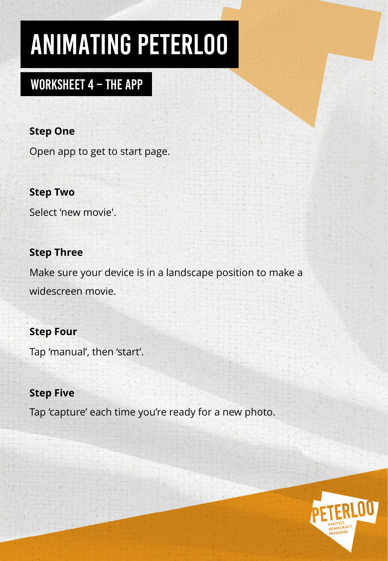### Worksheet 4 – THE APP

#### **Step One**

Open app to get to start page.

#### **Step Two**

Select 'new movie'.

#### **Step Three**

Make sure your device is in a landscape position to make a widescreen movie.

#### **Step Four**

Tap 'manual', then 'start'.

#### **Step Five**

Tap 'capture' each time you're ready for a new photo.